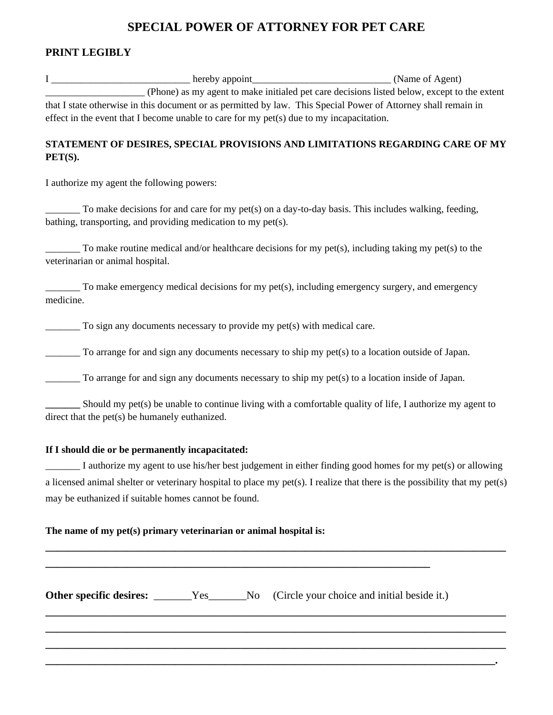# **SPECIAL POWER OF ATTORNEY FOR PET CARE**

## **PRINT LEGIBLY**

|                                                                                          |  | (Phone) as my agent to make initialed pet care decisions listed below, except to the extent                                 |
|------------------------------------------------------------------------------------------|--|-----------------------------------------------------------------------------------------------------------------------------|
|                                                                                          |  | that I state otherwise in this document or as permitted by law. This Special Power of Attorney shall remain in              |
| effect in the event that I become unable to care for my pet(s) due to my incapacitation. |  |                                                                                                                             |
| $PET(S)$ .                                                                               |  | STATEMENT OF DESIRES, SPECIAL PROVISIONS AND LIMITATIONS REGARDING CARE OF MY                                               |
| I authorize my agent the following powers:                                               |  |                                                                                                                             |
| bathing, transporting, and providing medication to my pet(s).                            |  | To make decisions for and care for my pet(s) on a day-to-day basis. This includes walking, feeding,                         |
| veterinarian or animal hospital.                                                         |  | $\frac{1}{1}$ To make routine medical and/or healthcare decisions for my pet(s), including taking my pet(s) to the          |
| medicine.                                                                                |  | To make emergency medical decisions for my pet(s), including emergency surgery, and emergency                               |
| $\frac{1}{1}$ To sign any documents necessary to provide my pet(s) with medical care.    |  |                                                                                                                             |
|                                                                                          |  | To arrange for and sign any documents necessary to ship my pet(s) to a location outside of Japan.                           |
|                                                                                          |  | To arrange for and sign any documents necessary to ship my pet(s) to a location inside of Japan.                            |
| direct that the pet(s) be humanely euthanized.                                           |  | Should my pet(s) be unable to continue living with a comfortable quality of life, I authorize my agent to                   |
| If I should die or be permanently incapacitated:                                         |  |                                                                                                                             |
|                                                                                          |  | I authorize my agent to use his/her best judgement in either finding good homes for my pet(s) or allowing                   |
|                                                                                          |  | a licensed animal shelter or veterinary hospital to place my pet(s). I realize that there is the possibility that my pet(s) |
| may be euthanized if suitable homes cannot be found.                                     |  |                                                                                                                             |
| The name of my pet(s) primary veterinarian or animal hospital is:                        |  |                                                                                                                             |
|                                                                                          |  |                                                                                                                             |
| Other specific desires: ______Yes_____No                                                 |  | (Circle your choice and initial beside it.)                                                                                 |
|                                                                                          |  |                                                                                                                             |

**\_\_\_\_\_\_\_\_\_\_\_\_\_\_\_\_\_\_\_\_\_\_\_\_\_\_\_\_\_\_\_\_\_\_\_\_\_\_\_\_\_\_\_\_\_\_\_\_\_\_\_\_\_\_\_\_\_\_\_\_\_\_\_\_\_\_\_\_\_\_\_\_\_\_\_\_\_\_\_\_\_\_\_.**